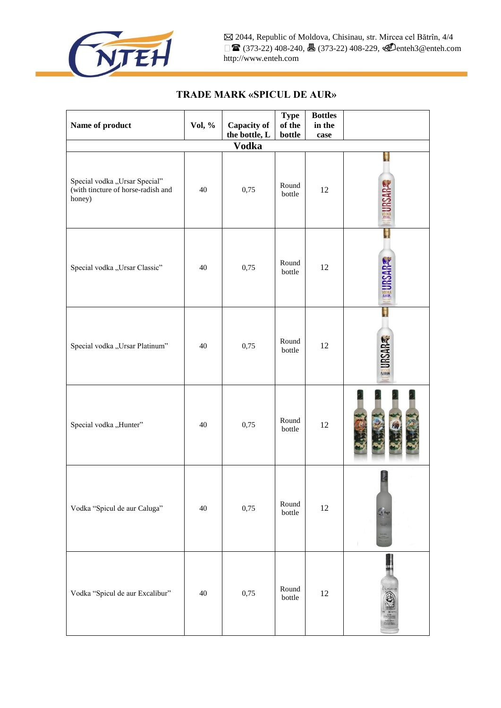

| Name of product                                                               | Vol, % | <b>Capacity of</b><br>the bottle, L | <b>Type</b><br>of the<br>bottle | <b>Bottles</b><br>in the<br>case |                          |  |
|-------------------------------------------------------------------------------|--------|-------------------------------------|---------------------------------|----------------------------------|--------------------------|--|
| <b>Vodka</b>                                                                  |        |                                     |                                 |                                  |                          |  |
| Special vodka "Ursar Special"<br>(with tincture of horse-radish and<br>honey) | 40     | 0,75                                | Round<br>bottle                 | 12                               |                          |  |
| Special vodka "Ursar Classic"                                                 | 40     | 0,75                                | Round<br>bottle                 | 12                               | H                        |  |
| Special vodka "Ursar Platinum"                                                | 40     | 0,75                                | Round<br>bottle                 | 12                               | <b>RSARE</b><br>PLATINUM |  |
| Special vodka "Hunter"                                                        | 40     | 0,75                                | Round<br>bottle                 | 12                               |                          |  |
| Vodka "Spicul de aur Caluga"                                                  | 40     | 0,75                                | Round<br>bottle                 | 12                               | h dag                    |  |
| Vodka "Spicul de aur Excalibur"                                               | 40     | 0,75                                | Round<br>bottle                 | 12                               |                          |  |

## **TRADE MARK «SPICUL DE AUR»**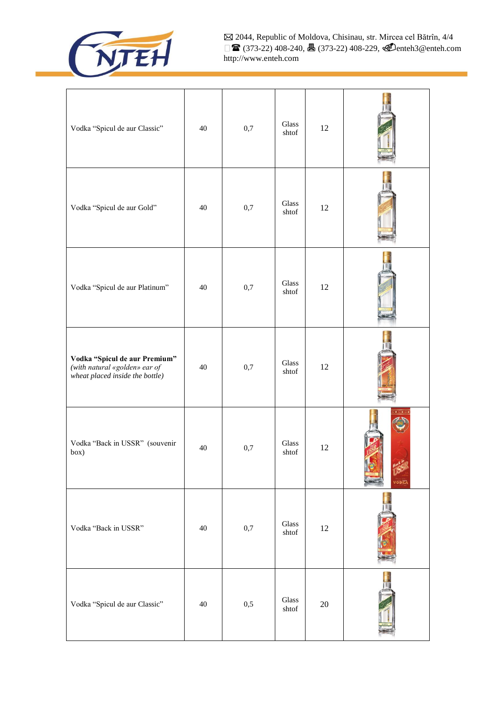

 2044, Republic of Moldova, Chisinau, str. Mircea cel Bătrîn, 4/4 **■** (373-22) 408-240, **昌** (373-22) 408-229, **④**enteh3@enteh.com http://www.enteh.com

| Vodka "Spicul de aur Classic"                                                                     | 40 | 0,7 | Glass<br>shtof                  | 12     |        |
|---------------------------------------------------------------------------------------------------|----|-----|---------------------------------|--------|--------|
| Vodka "Spicul de aur Gold"                                                                        | 40 | 0,7 | Glass<br>shtof                  | 12     |        |
| Vodka "Spicul de aur Platinum"                                                                    | 40 | 0,7 | Glass<br>shtof                  | 12     |        |
| Vodka "Spicul de aur Premium"<br>(with natural «golden» ear of<br>wheat placed inside the bottle) | 40 | 0,7 | Glass<br>shtof                  | 12     |        |
| Vodka "Back in USSR" (souvenir<br>box)                                                            | 40 | 0,7 | Glass<br>shtof                  | 12     | vodita |
| Vodka "Back in USSR"                                                                              | 40 | 0,7 | Glass<br>shtof                  | $12\,$ |        |
| Vodka "Spicul de aur Classic"                                                                     | 40 | 0,5 | $\operatorname{Glass}$<br>shtof | $20\,$ |        |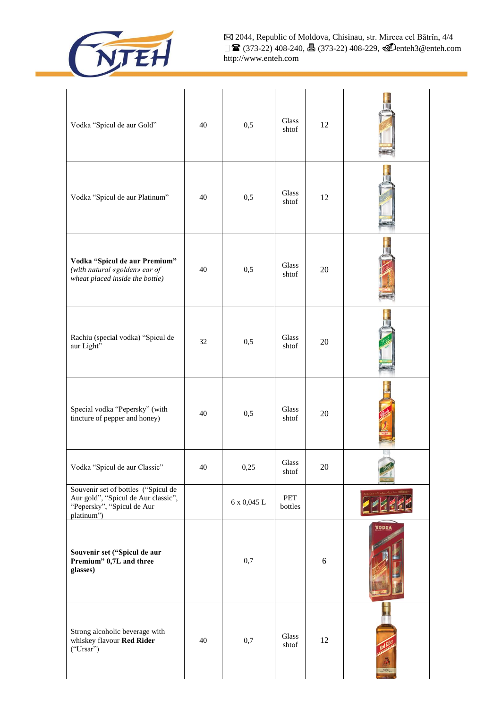

 2044, Republic of Moldova, Chisinau, str. Mircea cel Bătrîn, 4/4 **■** (373-22) 408-240, **昌** (373-22) 408-229, **④**enteh3@enteh.com http://www.enteh.com

| Vodka "Spicul de aur Gold"                                                                                             | 40 | 0,5         | Glass<br>shtof                  | 12         |              |
|------------------------------------------------------------------------------------------------------------------------|----|-------------|---------------------------------|------------|--------------|
| Vodka "Spicul de aur Platinum"                                                                                         | 40 | 0,5         | Glass<br>shtof                  | 12         |              |
| Vodka "Spicul de aur Premium"<br>(with natural «golden» ear of<br>wheat placed inside the bottle)                      | 40 | 0,5         | Glass<br>shtof                  | 20         |              |
| Rachiu (special vodka) "Spicul de<br>aur Light"                                                                        | 32 | 0,5         | Glass<br>shtof                  | 20         |              |
| Special vodka "Pepersky" (with<br>tincture of pepper and honey)                                                        | 40 | 0,5         | Glass<br>shtof                  | 20         |              |
| Vodka "Spicul de aur Classic"                                                                                          | 40 | 0,25        | <b>Glass</b><br>shtof           | 20         |              |
| Souvenir set of bottles ("Spicul de<br>Aur gold", "Spicul de Aur classic",<br>"Pepersky", "Spicul de Aur<br>platinum") |    | 6 x 0,045 L | PET<br>bottles                  |            |              |
| Souvenir set ("Spicul de aur<br>Premium" 0,7L and three<br>glasses)                                                    |    | 0,7         |                                 | $\sqrt{6}$ | <b>VODKA</b> |
| Strong alcoholic beverage with<br>whiskey flavour Red Rider<br>("Ursar")                                               | 40 | 0,7         | $\operatorname{Glass}$<br>shtof | 12         |              |